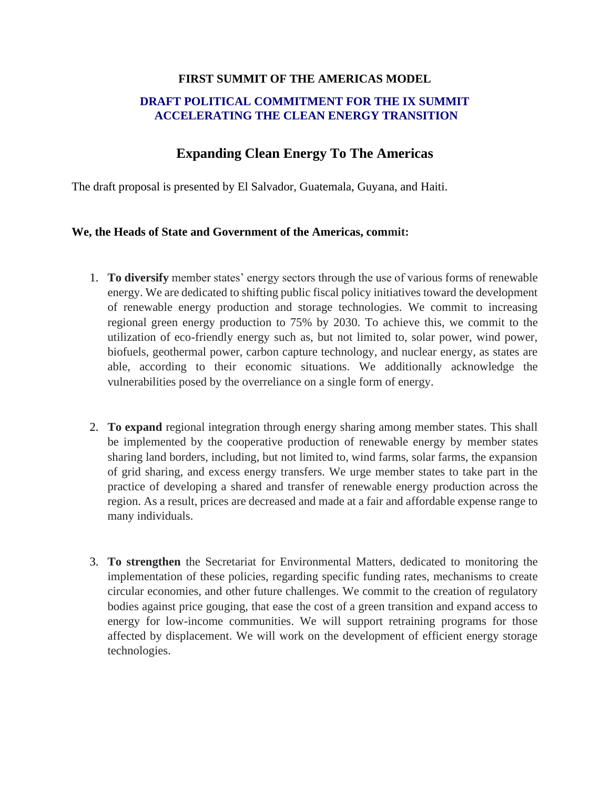## **FIRST SUMMIT OF THE AMERICAS MODEL**

## **DRAFT POLITICAL COMMITMENT FOR THE IX SUMMIT ACCELERATING THE CLEAN ENERGY TRANSITION**

## **Expanding Clean Energy To The Americas**

The draft proposal is presented by El Salvador, Guatemala, Guyana, and Haiti.

## **We, the Heads of State and Government of the Americas, commit:**

- 1. **To diversify** member states' energy sectors through the use of various forms of renewable energy. We are dedicated to shifting public fiscal policy initiatives toward the development of renewable energy production and storage technologies. We commit to increasing regional green energy production to 75% by 2030. To achieve this, we commit to the utilization of eco-friendly energy such as, but not limited to, solar power, wind power, biofuels, geothermal power, carbon capture technology, and nuclear energy, as states are able, according to their economic situations. We additionally acknowledge the vulnerabilities posed by the overreliance on a single form of energy.
- 2. **To expand** regional integration through energy sharing among member states. This shall be implemented by the cooperative production of renewable energy by member states sharing land borders, including, but not limited to, wind farms, solar farms, the expansion of grid sharing, and excess energy transfers. We urge member states to take part in the practice of developing a shared and transfer of renewable energy production across the region. As a result, prices are decreased and made at a fair and affordable expense range to many individuals.
- 3. **To strengthen** the Secretariat for Environmental Matters, dedicated to monitoring the implementation of these policies, regarding specific funding rates, mechanisms to create circular economies, and other future challenges. We commit to the creation of regulatory bodies against price gouging, that ease the cost of a green transition and expand access to energy for low-income communities. We will support retraining programs for those affected by displacement. We will work on the development of efficient energy storage technologies.